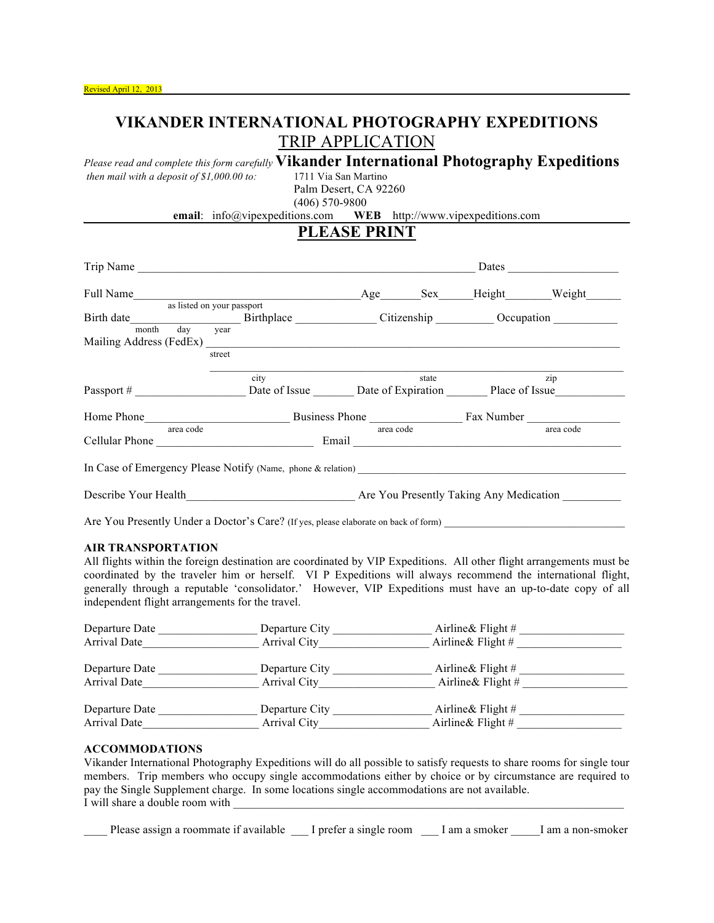## **VIKANDER INTERNATIONAL PHOTOGRAPHY EXPEDITIONS** TRIP APPLICATION

*Please read and complete this form carefully* **Vikander International Photography Expeditions**

*then mail with a deposit of \$1,000.00 to:* Palm Desert, CA 92260

(406) 570-9800

**email**: info@vipexpeditions.com **WEB** http://www.vipexpeditions.com

## **PLEASE PRINT**

|                                                                      |                                                                                                                                                                                                                                                                                       | Dates <u>and the second second</u> service in the second second second second second service in the second second second second second service in the second service in the second second service in the second service in the seco |                                         |                                                                                                                                                                                                                                 |                       |  |
|----------------------------------------------------------------------|---------------------------------------------------------------------------------------------------------------------------------------------------------------------------------------------------------------------------------------------------------------------------------------|-------------------------------------------------------------------------------------------------------------------------------------------------------------------------------------------------------------------------------------|-----------------------------------------|---------------------------------------------------------------------------------------------------------------------------------------------------------------------------------------------------------------------------------|-----------------------|--|
| Full Name                                                            |                                                                                                                                                                                                                                                                                       |                                                                                                                                                                                                                                     |                                         |                                                                                                                                                                                                                                 | Age Sex Height Weight |  |
|                                                                      | as listed on your passport                                                                                                                                                                                                                                                            |                                                                                                                                                                                                                                     |                                         |                                                                                                                                                                                                                                 |                       |  |
| Birth date Birthplace Citizenship Cocupation                         |                                                                                                                                                                                                                                                                                       |                                                                                                                                                                                                                                     |                                         |                                                                                                                                                                                                                                 |                       |  |
| month day year                                                       |                                                                                                                                                                                                                                                                                       |                                                                                                                                                                                                                                     |                                         |                                                                                                                                                                                                                                 |                       |  |
|                                                                      | street                                                                                                                                                                                                                                                                                |                                                                                                                                                                                                                                     |                                         |                                                                                                                                                                                                                                 |                       |  |
|                                                                      |                                                                                                                                                                                                                                                                                       |                                                                                                                                                                                                                                     |                                         |                                                                                                                                                                                                                                 |                       |  |
|                                                                      | $\dot{c}$ ity                                                                                                                                                                                                                                                                         |                                                                                                                                                                                                                                     |                                         | state and the state of the state of the state of the state of the state of the state of the state of the state of the state of the state of the state of the state of the state of the state of the state of the state of the s | zip                   |  |
| Passport # Date of Issue Date of Expiration Place of Issue           |                                                                                                                                                                                                                                                                                       |                                                                                                                                                                                                                                     |                                         |                                                                                                                                                                                                                                 |                       |  |
|                                                                      | Home Phone <b>Example 2</b> Business Phone <b>Example 2</b> Business Phone <b>Example 2</b> Phone <b>Example 2</b> Phone <b>Example 2</b> Phone <b>Example 2</b> Phone <b>Example 2</b> Phone <b>Example 2</b> Phone <b>Example 2</b> Phone <b>Example 2</b> Phone <b>Example 2</b> P |                                                                                                                                                                                                                                     |                                         |                                                                                                                                                                                                                                 |                       |  |
| area code                                                            |                                                                                                                                                                                                                                                                                       | area code                                                                                                                                                                                                                           |                                         |                                                                                                                                                                                                                                 | area code             |  |
| Cellular Phone Email Email                                           |                                                                                                                                                                                                                                                                                       |                                                                                                                                                                                                                                     |                                         |                                                                                                                                                                                                                                 |                       |  |
| In Case of Emergency Please Notify (Name, phone & relation) $\qquad$ |                                                                                                                                                                                                                                                                                       |                                                                                                                                                                                                                                     |                                         |                                                                                                                                                                                                                                 |                       |  |
| Describe Your Health                                                 |                                                                                                                                                                                                                                                                                       |                                                                                                                                                                                                                                     | Are You Presently Taking Any Medication |                                                                                                                                                                                                                                 |                       |  |

Are You Presently Under a Doctor's Care? (If yes, please elaborate on back of form) \_\_\_\_\_\_\_\_\_\_\_\_\_\_\_\_\_\_\_\_\_\_\_\_\_\_\_\_\_\_\_

#### **AIR TRANSPORTATION**

All flights within the foreign destination are coordinated by VIP Expeditions. All other flight arrangements must be coordinated by the traveler him or herself. VI P Expeditions will always recommend the international flight, generally through a reputable 'consolidator.' However, VIP Expeditions must have an up-to-date copy of all independent flight arrangements for the travel.

| Departure Date | Departure City | Airline & Flight #   |  |
|----------------|----------------|----------------------|--|
| Arrival Date   | Arrival City   | Airline & Flight $#$ |  |
| Departure Date | Departure City | Airline & Flight #   |  |
| Arrival Date   | Arrival City   | Airline & Flight $#$ |  |
| Departure Date | Departure City | Airline & Flight $#$ |  |
| Arrival Date   | Arrival City   | Airline & Flight $#$ |  |

## **ACCOMMODATIONS**

Vikander International Photography Expeditions will do all possible to satisfy requests to share rooms for single tour members. Trip members who occupy single accommodations either by choice or by circumstance are required to pay the Single Supplement charge. In some locations single accommodations are not available. I will share a double room with

Please assign a roommate if available \_\_\_\_I prefer a single room \_\_\_\_I am a smoker \_\_\_\_\_I am a non-smoker